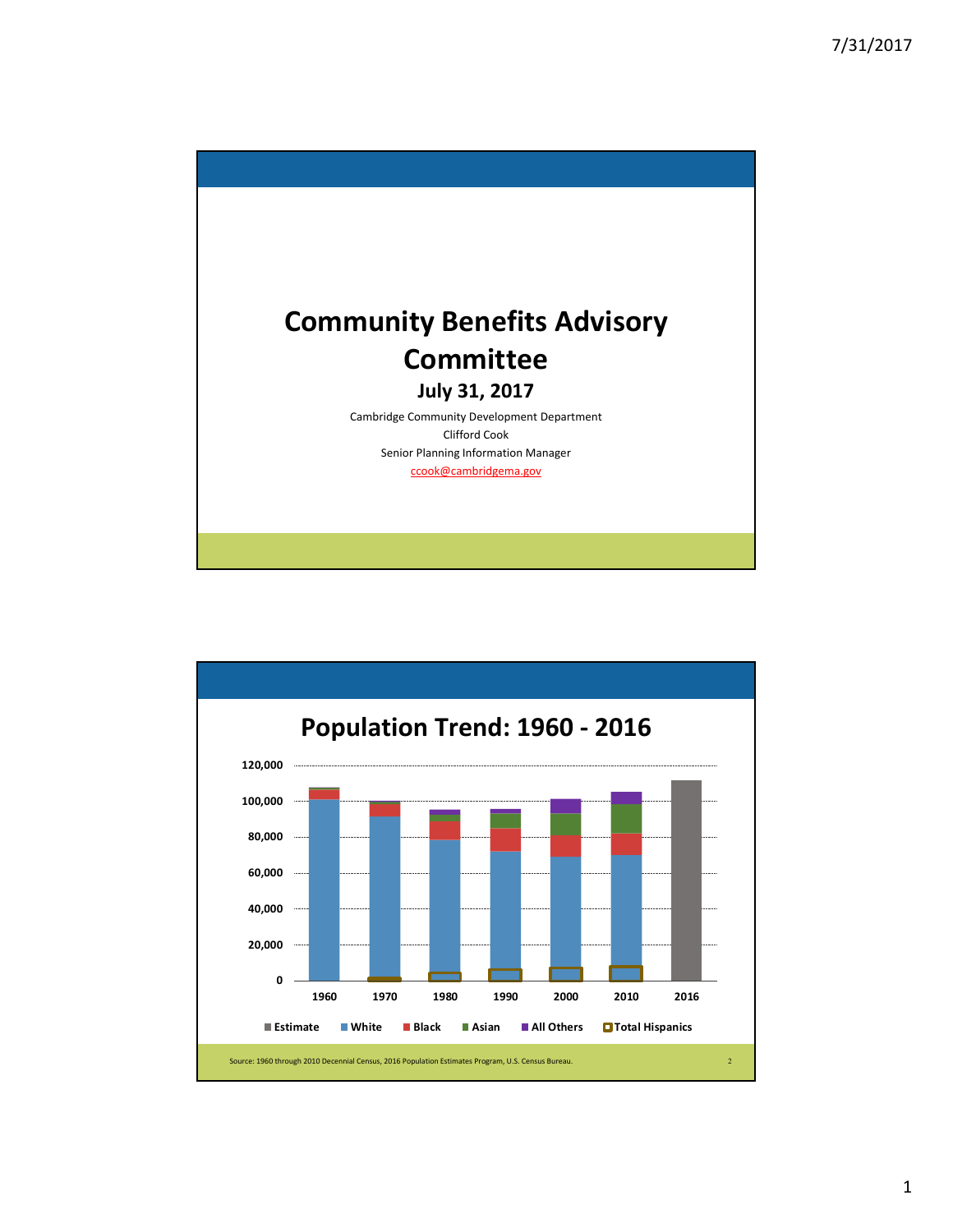

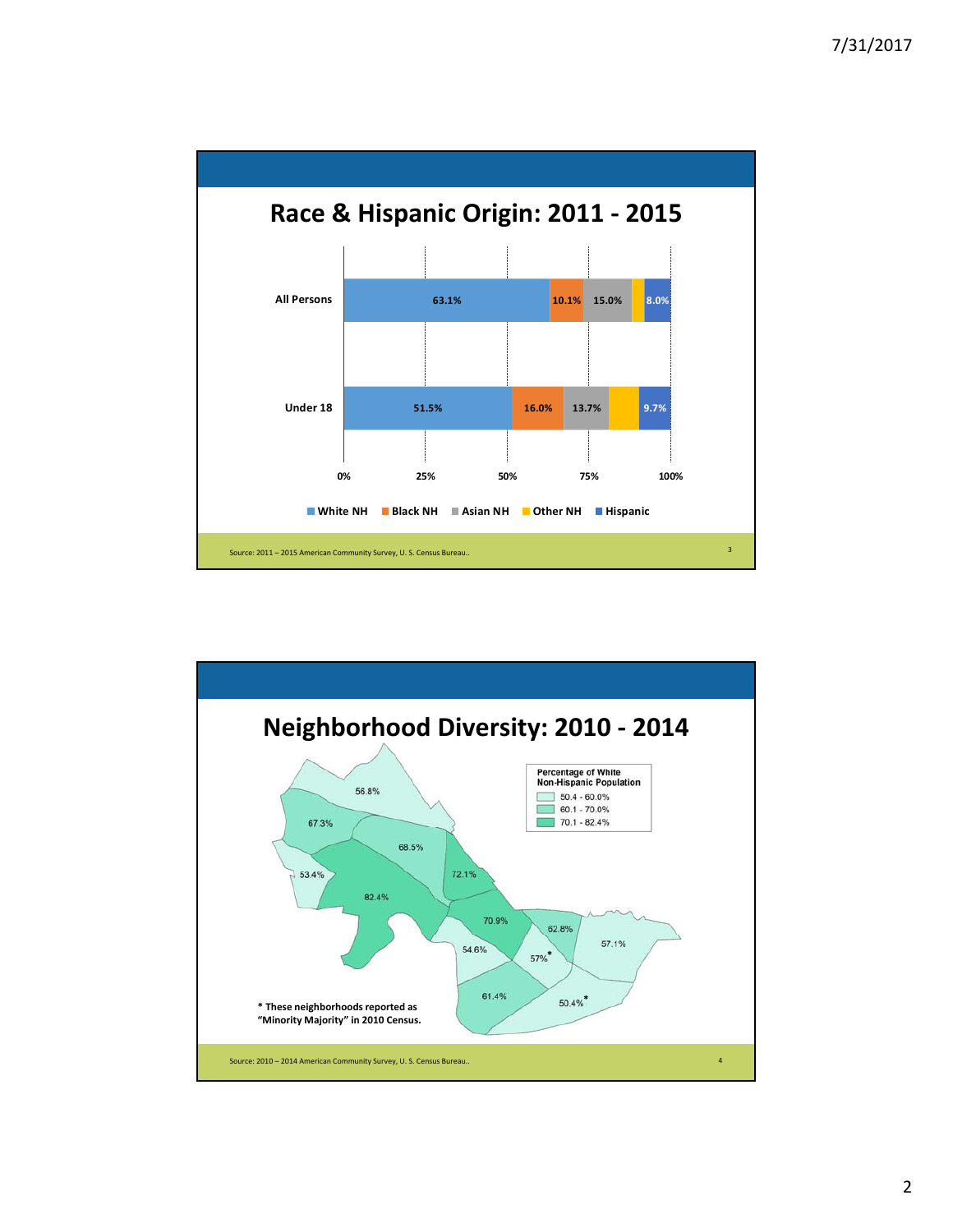

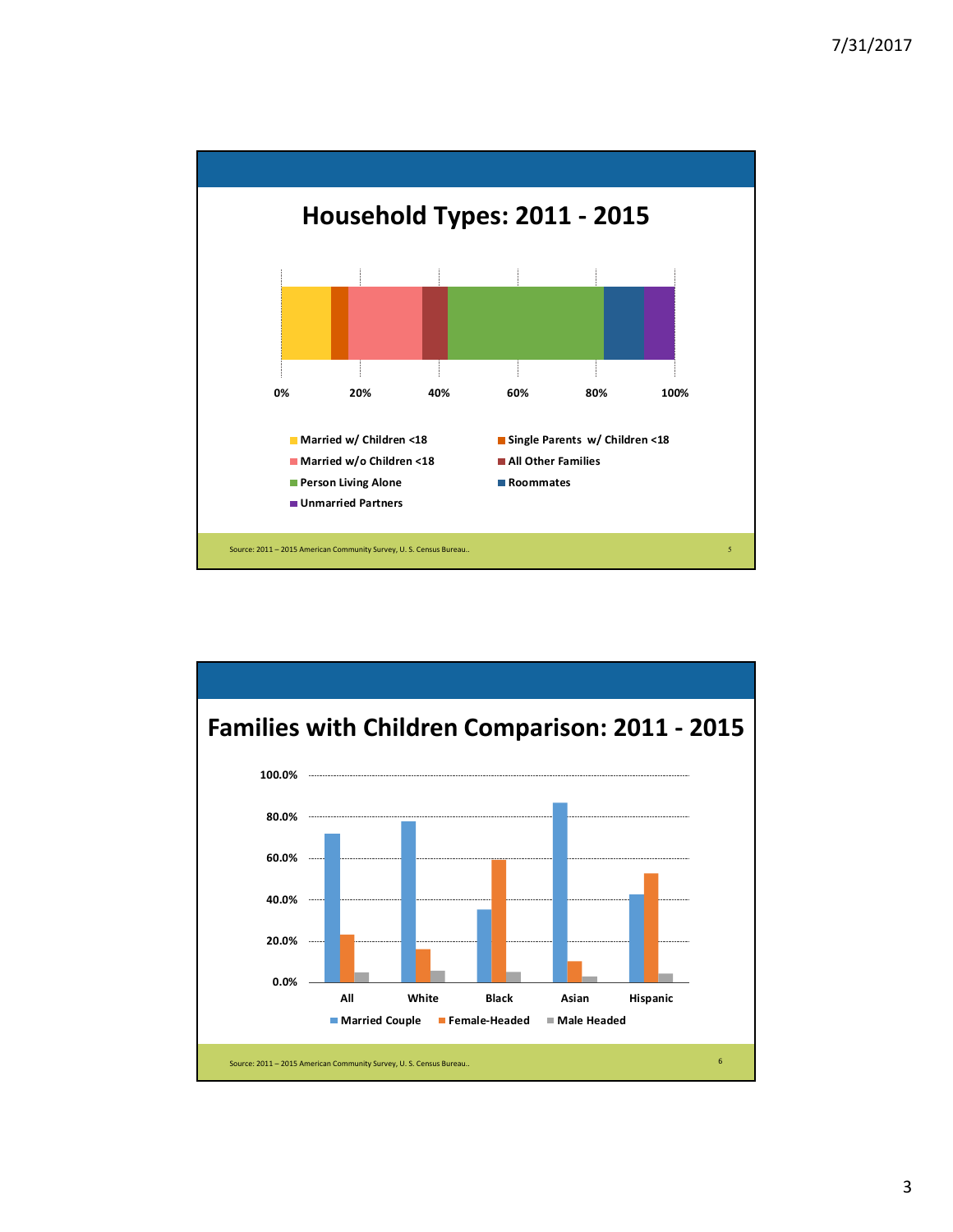

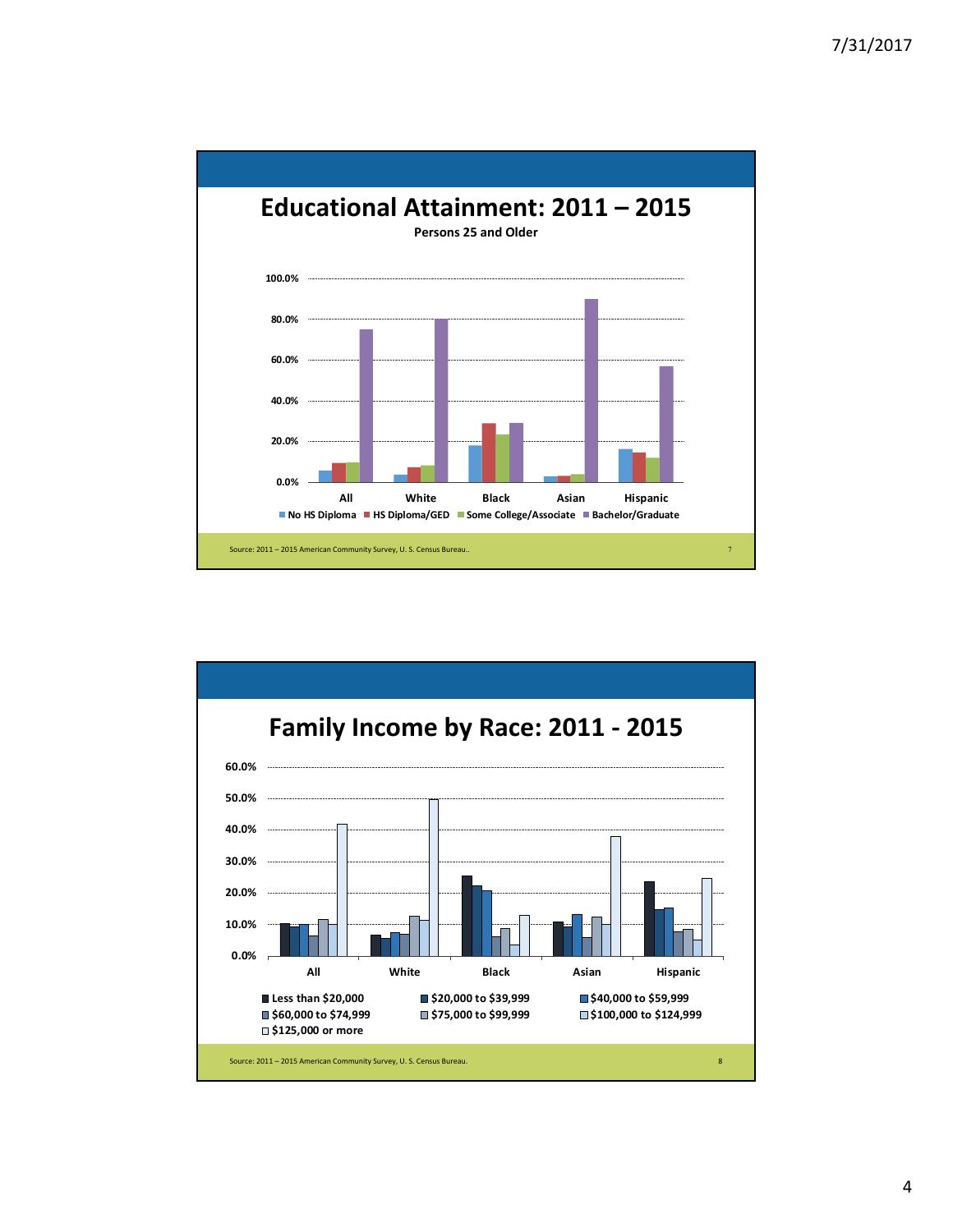

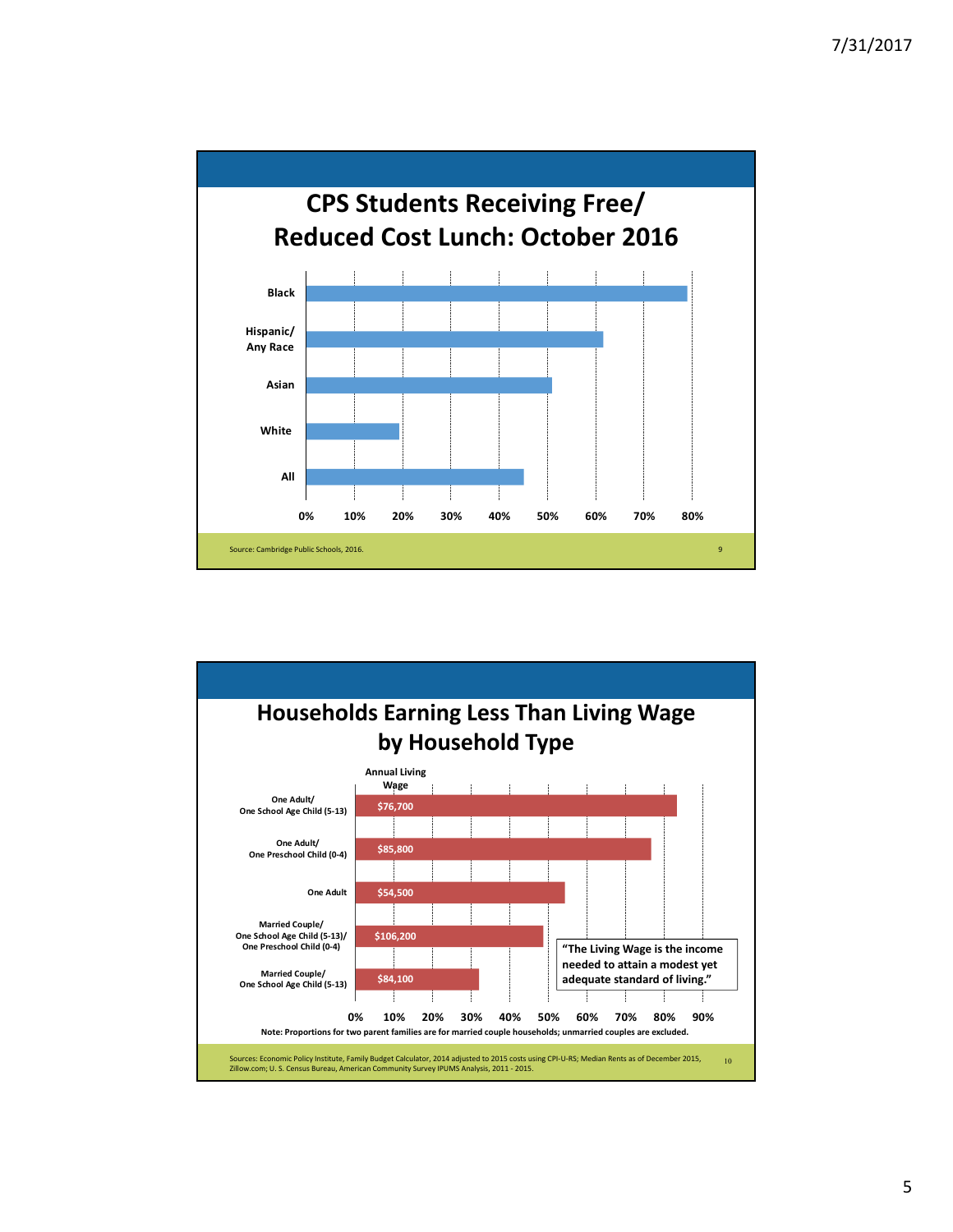

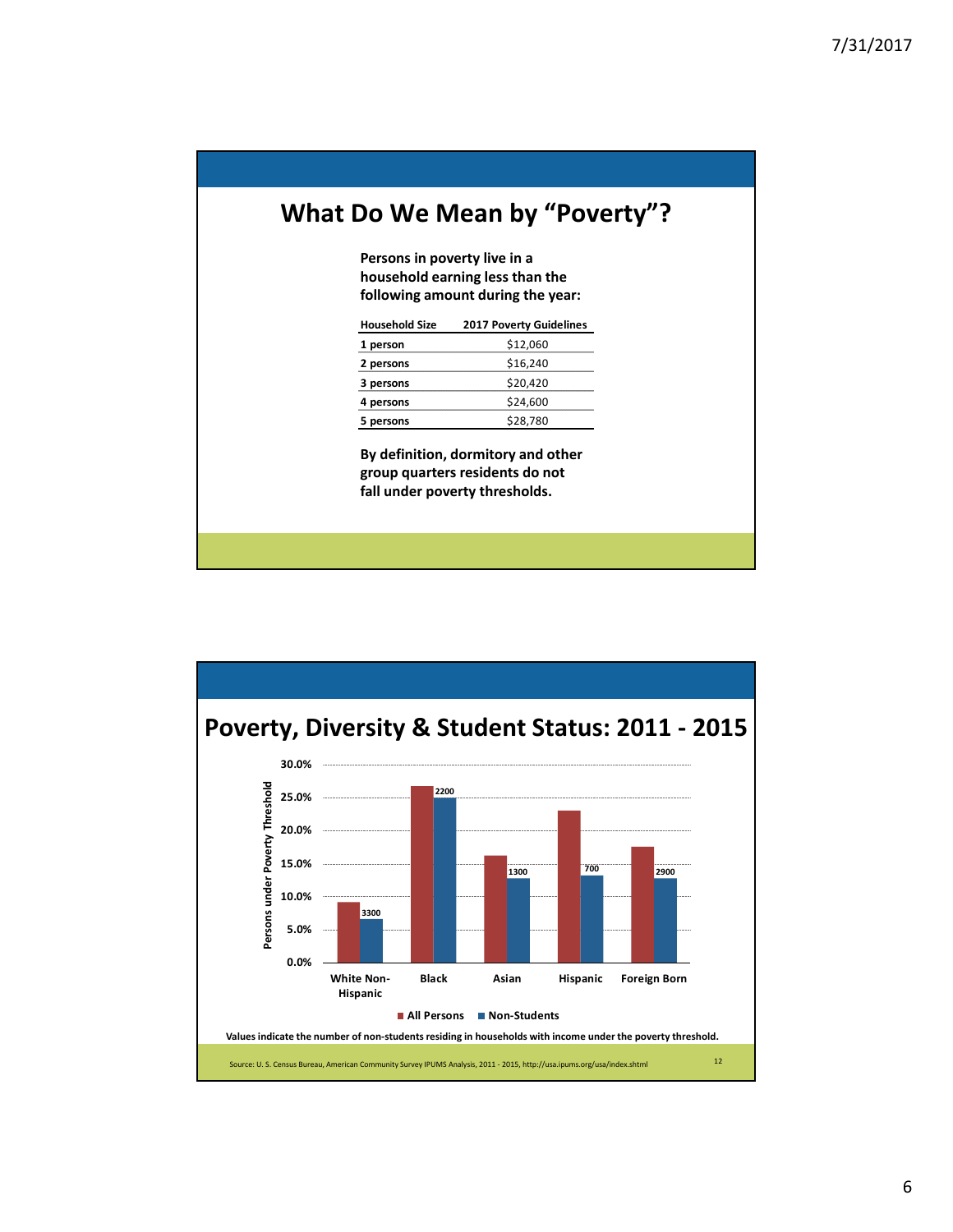## **What Do We Mean by "Poverty"?**

**Persons in poverty live in a household earning less than the following amount during the year:** 

| <b>Household Size</b> | <b>2017 Poverty Guidelines</b> |  |  |  |  |
|-----------------------|--------------------------------|--|--|--|--|
| 1 person              | \$12,060                       |  |  |  |  |
| 2 persons             | \$16,240                       |  |  |  |  |
| 3 persons             | \$20,420                       |  |  |  |  |
| 4 persons             | \$24,600                       |  |  |  |  |
| 5 persons             | \$28,780                       |  |  |  |  |

**By definition, dormitory and other group quarters residents do not fall under poverty thresholds.**

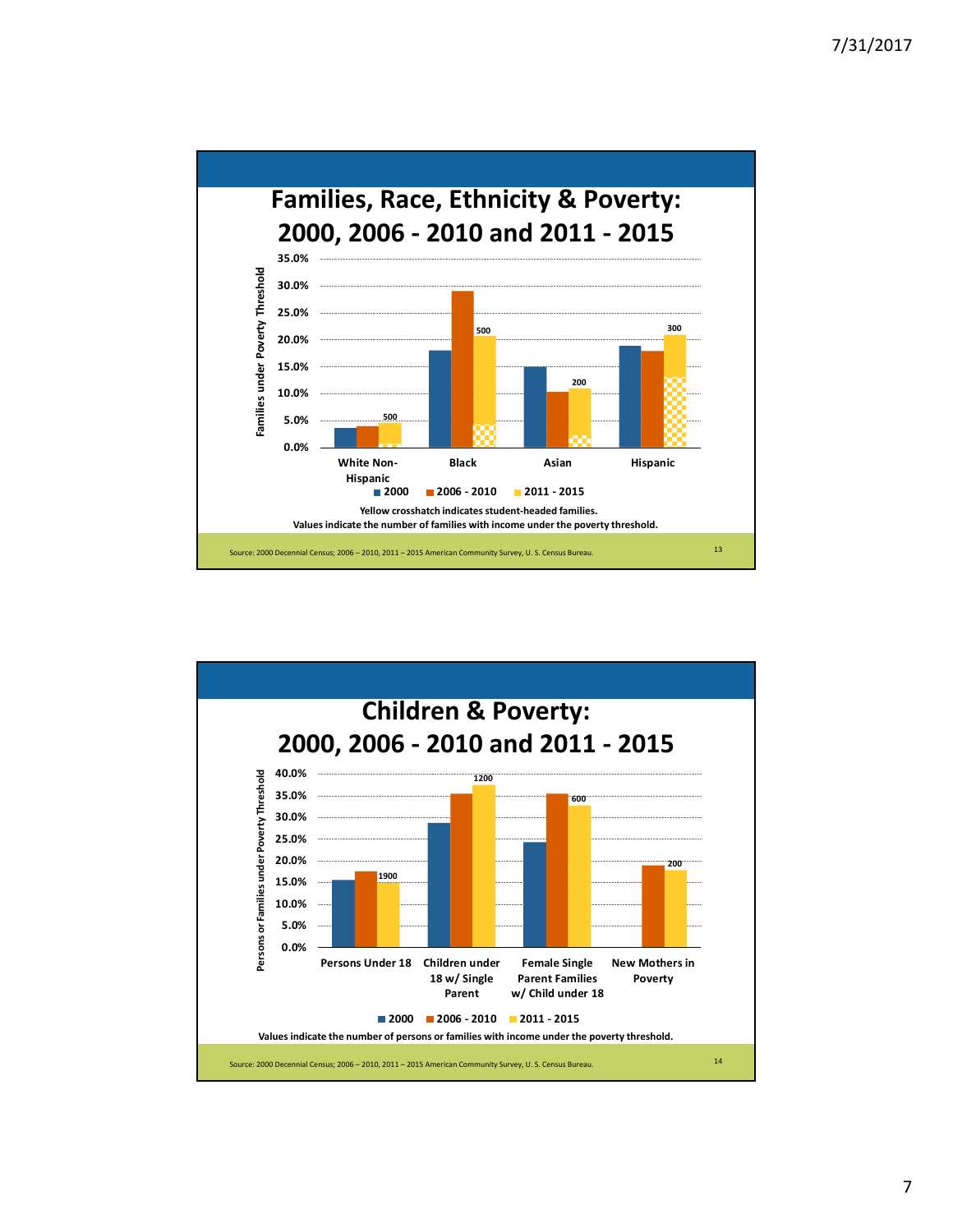

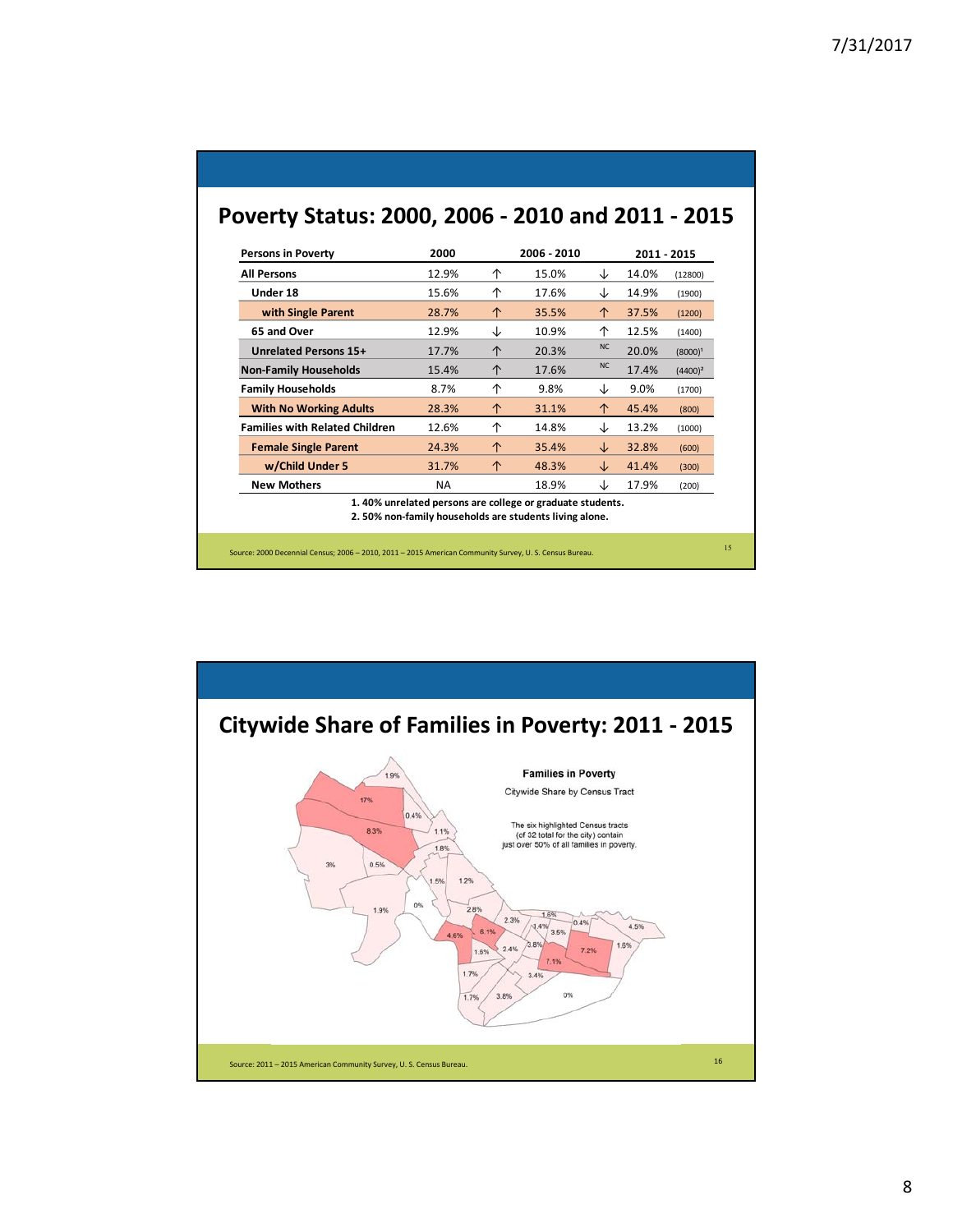| <b>Persons in Poverty</b>             | 2000      |   | 2006 - 2010 |           | 2011 - 2015 |            |  |
|---------------------------------------|-----------|---|-------------|-----------|-------------|------------|--|
| <b>All Persons</b>                    | 12.9%     | ↑ | 15.0%       | ↓         | 14.0%       | (12800)    |  |
| Under 18                              | 15.6%     | ↑ | 17.6%       | ↓         | 14.9%       | (1900)     |  |
| with Single Parent                    | 28.7%     | 个 | 35.5%       | ↑         | 37.5%       | (1200)     |  |
| 65 and Over                           | 12.9%     | ↓ | 10.9%       | ↑         | 12.5%       | (1400)     |  |
| Unrelated Persons 15+                 | 17.7%     | 个 | 20.3%       | <b>NC</b> | 20.0%       | $(8000)^1$ |  |
| <b>Non-Family Households</b>          | 15.4%     | 个 | 17.6%       | <b>NC</b> | 17.4%       | $(4400)^2$ |  |
| <b>Family Households</b>              | 8.7%      | 个 | 9.8%        | ↓         | 9.0%        | (1700)     |  |
| <b>With No Working Adults</b>         | 28.3%     | 个 | 31.1%       | ↑         | 45.4%       | (800)      |  |
| <b>Families with Related Children</b> | 12.6%     | 个 | 14.8%       | ↓         | 13.2%       | (1000)     |  |
| <b>Female Single Parent</b>           | 24.3%     | ↑ | 35.4%       | ↓         | 32.8%       | (600)      |  |
| w/Child Under 5                       | 31.7%     | 个 | 48.3%       | Jz        | 41.4%       | (300)      |  |
| <b>New Mothers</b>                    | <b>NA</b> |   | 18.9%       | J         | 17.9%       | (200)      |  |